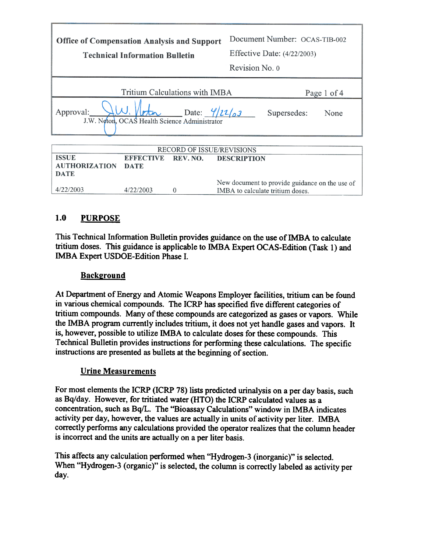| <b>Office of Compensation Analysis and Support</b><br><b>Technical Information Bulletin</b>              |                  | Document Number: OCAS-TIB-002<br>Effective Date: (4/22/2003)<br>Revision No. 0 |                                                |  |  |  |
|----------------------------------------------------------------------------------------------------------|------------------|--------------------------------------------------------------------------------|------------------------------------------------|--|--|--|
| Tritium Calculations with IMBA<br>Page 1 of 4                                                            |                  |                                                                                |                                                |  |  |  |
| Date: $\frac{4}{2}$<br>Approval:<br>Supersedes:<br>None<br>J.W. Neton, OCAS Health Science Administrator |                  |                                                                                |                                                |  |  |  |
| <b>RECORD OF ISSUE/REVISIONS</b>                                                                         |                  |                                                                                |                                                |  |  |  |
| <b>ISSUE</b>                                                                                             | <b>EFFECTIVE</b> | REV. NO.                                                                       | <b>DESCRIPTION</b>                             |  |  |  |
| <b>AUTHORIZATION</b><br><b>DATE</b>                                                                      | <b>DATE</b>      |                                                                                |                                                |  |  |  |
|                                                                                                          |                  |                                                                                | New document to provide guidance on the use of |  |  |  |

# 1.0 PURPOSE

 $4/22/2003$ 

This Technical Information Bulletin provides guidance on the use of IMBA to calculate tritium doses. This guidance is applicable to IMBA Expert OCAS-Edition (Task I) and IMBA Expert USDOE-Edition Phase I.

IMBA to calculate tritium doses.

#### **Background**

 $4/22/2003$ 

 $\overline{0}$ 

At Department of Energy and Atomic Weapons Employer facilities, tritium can be found in various chemical compounds. The ICRP has specified five different categories of tritium compounds. Many of these compounds are categorized as gases or vapors. While the IMBA program currently includes tritium, it does not yet handle gases and vapors. It is, however, possible to utilize IMBA to calculate doses for these compounds. This Technical Bulletin provides instructions for performing these calculations. The specific instructions are presented as bullets at the beginning of section.

## Urine Measurements

For most elements the ICRP (ICRP 78) lists predicted urinalysis on a per day basis, such as Bq/day. However, for tritiated water (HTO) the ICRP calculated values as a concentration, such as Bq/L. The "Bioassay Calculations" window in IMBA indicates activity per day, however, the values are actually in units of activity per liter. IMBA correctly performs any calculations provided the operator realizes that the column header is incorrect and the units are actually on a per liter basis.

This affects any calculation performed when "Hydrogen-3 (inorganic)" is selected. When "Hydrogen-3 (organic)" is selected, the column is correctly labeled as activity per day.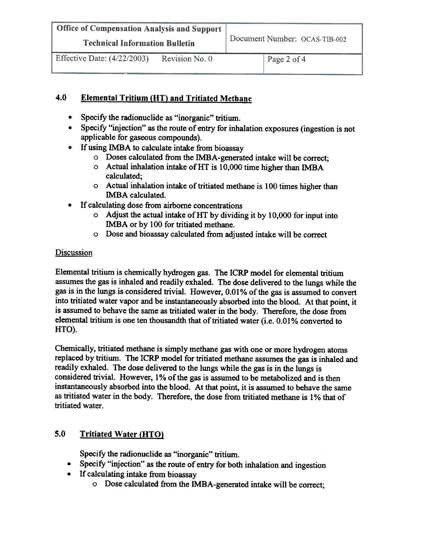| Office of Compensation Analysis and Support                                                    |                               |  |
|------------------------------------------------------------------------------------------------|-------------------------------|--|
| <b>Technical Information Bulletin</b>                                                          | Document Number: OCAS-TIB-002 |  |
| $Effout$ Detail (1/22/2002)<br>$\mathbf{D}$ and $\mathbf{L}$ and $\mathbf{M}$ and $\mathbf{D}$ |                               |  |

## 4.0 Elemental Tritium (HT) and Tritiated Methane

- $\bullet$ Specify the radionuclide as "inorganic" tritium.
- $\bullet$ Specify "injection" as the route of entry for inhalation exposures (ingestion is not applicable for gaseous compounds).
- If using IMBA to calculate intake from bioassay
	- 0 Doses calculated from the IMBA-generated intake will be correct;
	- 0 Actual inhalation intake ofHT is 10,000 time higher than IMBA calculated;
	- 0 Actual inhalation intake of tritiated methane is 100 times higher than IMBA calculated.
- . If calculating dose from airborne concentrations
	- $\circ$  Adjust the actual intake of HT by dividing it by 10,000 for input into IMBA or by 100 for tritiated methane.
	- 0 Dose and bioassay calculated from adjusted intake will be correct

## **Discussion**

Elemental tritium is chemically hydrogen gas. The ICRP model for elemental tritium assumes the gas is inhaled and readily exhaled. The dose delivered to the lungs while the gas is in the lungs is considered trivial. However, 0.01 % of the gas is assumed to convert into tritiated water vapor and be instantaneously absorbed into the blood. At that point, it is assumed to behave the same as tritiated water in the body. Therefore, the dose from elemental tritium is one ten thousandth that of tritiated water (i.e. 0.01% converted to HTO).

Chemically, tritiated methane is simply methane gas with one or more hydrogen atoms replaced by tritium. The ICRP model for tritiated methane assumes the gas is inhaled and readily exhaled. The dose delivered to the lungs while the gas is in the lungs is considered trivial. However, 1% of the gas is assumed to be metabolized and is then instantaneously absorbed into the blood. At that point, it is assumed to behave the same as tritiated water in the body. Therefore, the dose from tritiated methane is 1 % that of tritiated water.

# 5.0 Tritiated Water (HTO)

Specify the radionuclide as "inorganic" tritium.

- Specify "injection" as the route of entry for both inhalation and ingestion
- . If calculating intake from bioassay
	- 0 Dose calculated from the IMBA-generated intake will be correct;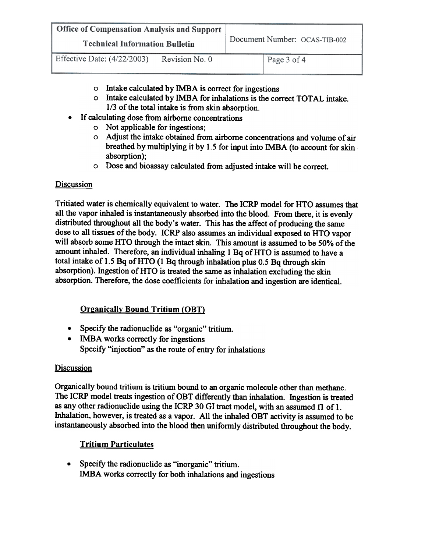| <b>Office of Compensation Analysis and Support</b> |                |                               |  |
|----------------------------------------------------|----------------|-------------------------------|--|
| <b>Technical Information Bulletin</b>              |                | Document Number: OCAS-TIB-002 |  |
| Effective Date: $(4/22/2003)$                      | Revision No. 0 | Page 3 of 4                   |  |

- 0 Intake calculated by IMBA is correct for ingestions
- 0 Intake calculated by IMBA for inhalations is the correct TOTAL intake. 1/3 of the total intake is from skin absorption.
- . If calculating dose from airborne concentrations
	- 0 Not applicable for ingestions;
	- 0 Adjust the intake obtained from airborne concentrations and volume of air breathed by multiplying it by 1.5 for input into IMBA (to account for skin absorption);
	- 0 Dose and bioassay calculated from adjusted intake will be correct.

#### Discussion

Tritiated water is chemically equivalent to water. The ICRP model for HTO assumes that all the vapor inhaled is instantaneously absorbed into the blood. From there, it is evenly distributed throughout all the body's water. This has the affect of producing the same dose to all tissues of the body. ICRP also assumes an individual exposed to HTO vapor will absorb some HTO through the intact skin. This amount is assumed to be 50% of the amount inhaled. Therefore, an individual inhaling 1 Bq of HTO is assumed to have a total intake of 1.5 Bq of HTO (1 Bq through inhalation plus 0.5 Bq through skin absorption). Ingestion of HTO is treated the same as inhalation excluding the skin absorption. Therefore, the dose coefficients for inhalation and ingestion are identical.

## **Organically Bound Tritium (OBT)**

- . Specify the radionuclide as "organic" tritium.
- IMBA works correctly for ingestions Specify "injection" as the route of entry for inhalations

#### **Discussion**

Organically bound tritium is tritium bound to an organic molecule other than methane. The ICRP model treats ingestion of OBT differently than inhalation. Ingestion is treated as any other radionuclide using the ICRP 30 GI tract model, with an assumed f1 of 1. Inhalation, however, is treated as a vapor. All the inhaled OBT activity is assumed to be instantaneously absorbed into the blood then uniformly distributed throughout the body.

## Tritium Particulates

. Specify the radionuclide as "inorganic" tritium. IMBA works correctly for both inhalations and ingestions